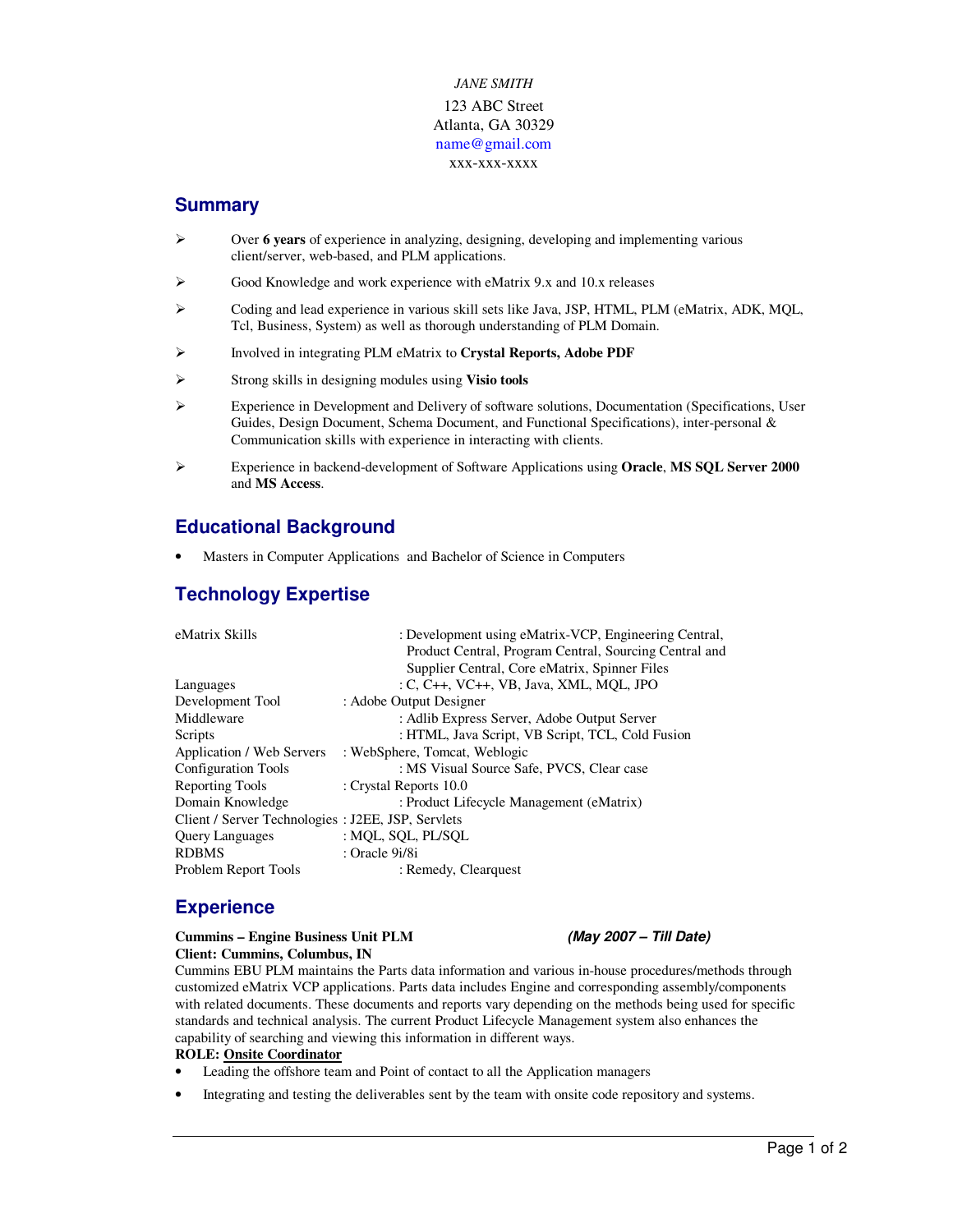# *JANE SMITH*  123 ABC Street Atlanta, GA 30329 name@gmail.com xxx-xxx-xxxx

# **Summary**

- Over **6 years** of experience in analyzing, designing, developing and implementing various client/server, web-based, and PLM applications.
- Good Knowledge and work experience with eMatrix 9.x and 10.x releases
- Coding and lead experience in various skill sets like Java, JSP, HTML, PLM (eMatrix, ADK, MQL, Tcl, Business, System) as well as thorough understanding of PLM Domain.
- Involved in integrating PLM eMatrix to **Crystal Reports, Adobe PDF**
- Strong skills in designing modules using **Visio tools**
- $\triangleright$  Experience in Development and Delivery of software solutions, Documentation (Specifications, User Guides, Design Document, Schema Document, and Functional Specifications), inter-personal & Communication skills with experience in interacting with clients.
- Experience in backend-development of Software Applications using **Oracle**, **MS SQL Server 2000** and **MS Access**.

# **Educational Background**

• Masters in Computer Applications and Bachelor of Science in Computers

# **Technology Expertise**

| eMatrix Skills                                     | : Development using eMatrix-VCP, Engineering Central,  |
|----------------------------------------------------|--------------------------------------------------------|
|                                                    | Product Central, Program Central, Sourcing Central and |
|                                                    | Supplier Central, Core eMatrix, Spinner Files          |
| Languages                                          | $C, C_{++}, VC_{++}, VB, Java, XML, MOL, JPO$          |
| Development Tool                                   | : Adobe Output Designer                                |
| Middleware                                         | : Adlib Express Server, Adobe Output Server            |
| Scripts                                            | : HTML, Java Script, VB Script, TCL, Cold Fusion       |
| Application / Web Servers                          | : WebSphere, Tomcat, Weblogic                          |
| <b>Configuration Tools</b>                         | : MS Visual Source Safe, PVCS, Clear case              |
| Reporting Tools                                    | : Crystal Reports 10.0                                 |
| Domain Knowledge                                   | : Product Lifecycle Management (eMatrix)               |
| Client / Server Technologies : J2EE, JSP, Servlets |                                                        |
| <b>Query Languages</b>                             | : MQL, SQL, PL/SQL                                     |
| <b>RDBMS</b>                                       | : Oracle 9i/8i                                         |
| Problem Report Tools                               | : Remedy, Clearquest                                   |

# **Experience**

#### **Cummins – Engine Business Unit PLM (May 2007 – Till Date) Client: Cummins, Columbus, IN**

Cummins EBU PLM maintains the Parts data information and various in-house procedures/methods through customized eMatrix VCP applications. Parts data includes Engine and corresponding assembly/components with related documents. These documents and reports vary depending on the methods being used for specific standards and technical analysis. The current Product Lifecycle Management system also enhances the capability of searching and viewing this information in different ways.

### **ROLE: Onsite Coordinator**

- Leading the offshore team and Point of contact to all the Application managers
- Integrating and testing the deliverables sent by the team with onsite code repository and systems.